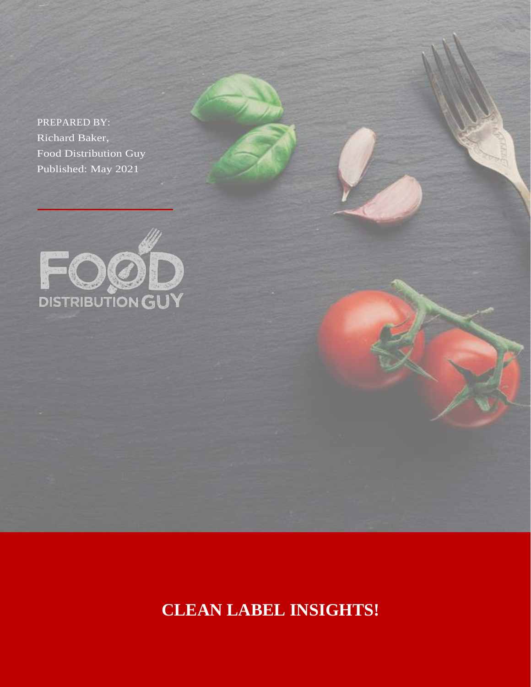PREPARED BY: Richard Baker, Food Distribution Guy Published: May 2021



**CLEAN LABEL INSIGHTS!**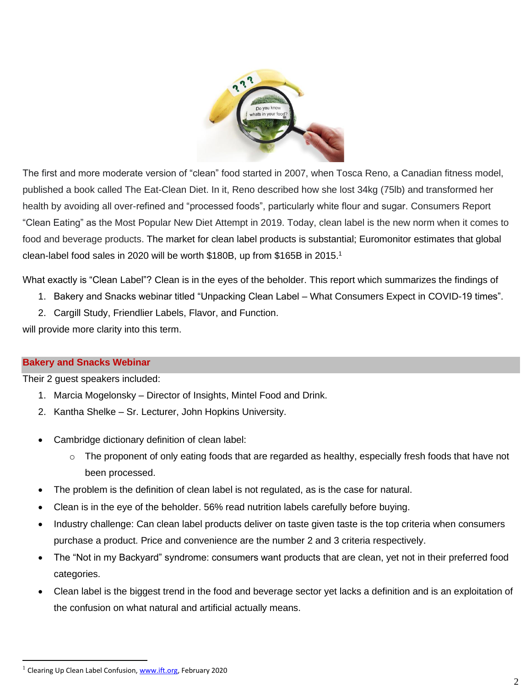

The first and more moderate version of "clean" food started in 2007, when Tosca Reno, a Canadian fitness model, published a book called The Eat-Clean Diet. In it, Reno described how she lost 34kg (75lb) and transformed her health by avoiding all over-refined and "processed foods", particularly white flour and sugar. Consumers Report "Clean Eating" as the Most Popular New Diet Attempt in 2019. Today, clean label is the new norm when it comes to food and beverage products. The market for clean label products is substantial; Euromonitor estimates that global clean-label food sales in 2020 will be worth \$180B, up from \$165B in 2015.<sup>1</sup>

What exactly is "Clean Label"? Clean is in the eyes of the beholder. This report which summarizes the findings of

- 1. Bakery and Snacks webinar titled "Unpacking Clean Label What Consumers Expect in COVID-19 times".
- 2. Cargill Study, Friendlier Labels, Flavor, and Function.

will provide more clarity into this term.

## **Bakery and Snacks Webinar**

Their 2 guest speakers included:

- 1. Marcia Mogelonsky Director of Insights, Mintel Food and Drink.
- 2. Kantha Shelke Sr. Lecturer, John Hopkins University.
- Cambridge dictionary definition of clean label:
	- $\circ$  The proponent of only eating foods that are regarded as healthy, especially fresh foods that have not been processed.
- The problem is the definition of clean label is not regulated, as is the case for natural.
- Clean is in the eye of the beholder. 56% read nutrition labels carefully before buying.
- Industry challenge: Can clean label products deliver on taste given taste is the top criteria when consumers purchase a product. Price and convenience are the number 2 and 3 criteria respectively.
- The "Not in my Backyard" syndrome: consumers want products that are clean, yet not in their preferred food categories.
- Clean label is the biggest trend in the food and beverage sector yet lacks a definition and is an exploitation of the confusion on what natural and artificial actually means.

<sup>&</sup>lt;sup>1</sup> Clearing Up Clean Label Confusion, [www.ift.org,](http://www.ift.org/) February 2020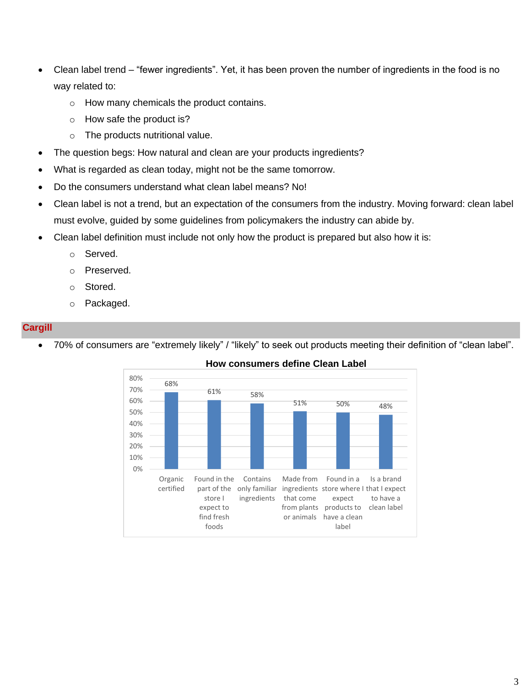- Clean label trend "fewer ingredients". Yet, it has been proven the number of ingredients in the food is no way related to:
	- o How many chemicals the product contains.
	- o How safe the product is?
	- $\circ$  The products nutritional value.
- The question begs: How natural and clean are your products ingredients?
- What is regarded as clean today, might not be the same tomorrow.
- Do the consumers understand what clean label means? No!
- Clean label is not a trend, but an expectation of the consumers from the industry. Moving forward: clean label must evolve, guided by some guidelines from policymakers the industry can abide by.
- Clean label definition must include not only how the product is prepared but also how it is:
	- o Served.
	- o Preserved.
	- o Stored.
	- o Packaged.

## **Cargill**

• 70% of consumers are "extremely likely" / "likely" to seek out products meeting their definition of "clean label".



## **How consumers define Clean Label**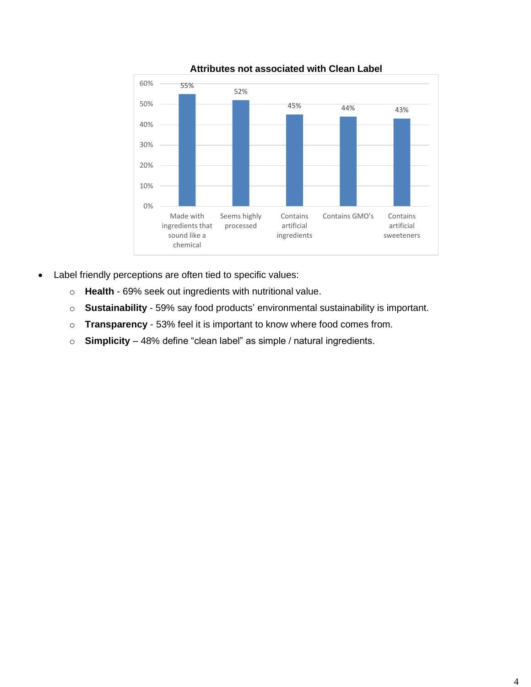

**Attributes not associated with Clean Label**

- Label friendly perceptions are often tied to specific values:
	- o **Health** 69% seek out ingredients with nutritional value.
	- o **Sustainability**  59% say food products' environmental sustainability is important.
	- o **Transparency**  53% feel it is important to know where food comes from.
	- o **Simplicity**  48% define "clean label" as simple / natural ingredients.